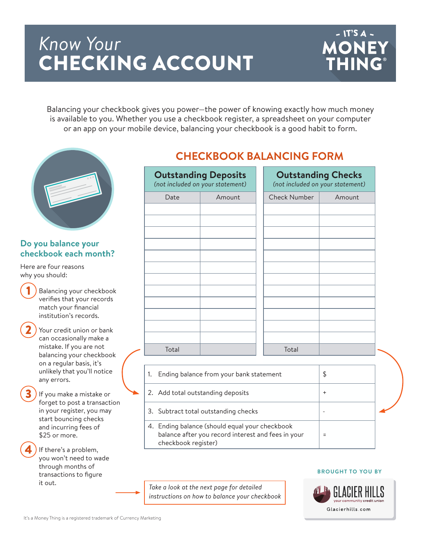# *Know Your* CHECKING ACCOUNT



Balancing your checkbook gives you power—the power of knowing exactly how much money is available to you. Whether you use a checkbook register, a spreadsheet on your computer or an app on your mobile device, balancing your checkbook is a good habit to form.



### **Do you balance your checkbook each month?**

Here are four reasons why you should:

- Balancing your checkbook verifies that your records match your financial institution's records.
- Your credit union or bank can occasionally make a mistake. If you are not balancing your checkbook on a regular basis, it's unlikely that you'll notice any errors.

If you make a mistake or forget to post a transaction in your register, you may start bouncing checks and incurring fees of \$25 or more.

If there's a problem, you won't need to wade through months of transactions to figure it out.

### **CHECKBOOK BALANCING FORM**

| <b>Outstanding Deposits</b><br>(not included on your statement) |        | <b>Outstanding Checks</b><br>(not included on your statement) |        |
|-----------------------------------------------------------------|--------|---------------------------------------------------------------|--------|
| Date                                                            | Amount | <b>Check Number</b>                                           | Amount |
|                                                                 |        |                                                               |        |
|                                                                 |        |                                                               |        |
|                                                                 |        |                                                               |        |
|                                                                 |        |                                                               |        |
|                                                                 |        |                                                               |        |
|                                                                 |        |                                                               |        |
|                                                                 |        |                                                               |        |
|                                                                 |        |                                                               |        |
|                                                                 |        |                                                               |        |
|                                                                 |        |                                                               |        |
|                                                                 |        |                                                               |        |
| Total                                                           |        | Total                                                         |        |
|                                                                 |        |                                                               |        |

- 1. Ending balance from your bank statement  $\frac{1}{3}$ 2. Add total outstanding deposits  $+$ 3. Subtract total outstanding checks 4. Ending balance (should equal your checkbook balance after you record interest and fees in your =
- *Take a look at the next page for detailed instructions on how to balance your checkbook*

checkbook register)



**BROUGHT TO YOU BY**